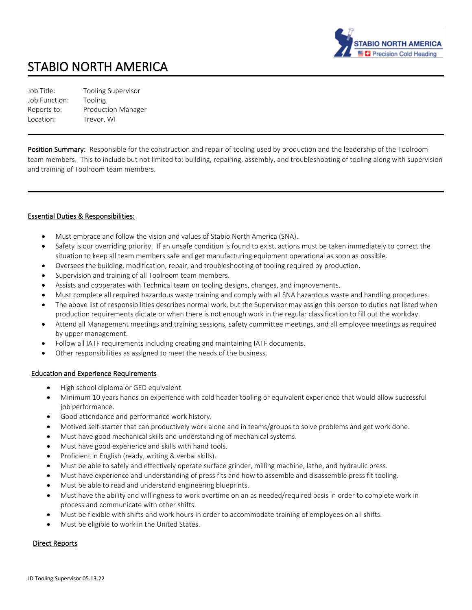

# STABIO NORTH AMERICA

Job Title: Tooling Supervisor Job Function: Tooling Reports to: Production Manager Location: Trevor, WI

Position Summary: Responsible for the construction and repair of tooling used by production and the leadership of the Toolroom team members. This to include but not limited to: building, repairing, assembly, and troubleshooting of tooling along with supervision and training of Toolroom team members.

#### Essential Duties & Responsibilities:

- Must embrace and follow the vision and values of Stabio North America (SNA).
- Safety is our overriding priority. If an unsafe condition is found to exist, actions must be taken immediately to correct the situation to keep all team members safe and get manufacturing equipment operational as soon as possible.
- Oversees the building, modification, repair, and troubleshooting of tooling required by production.
- Supervision and training of all Toolroom team members.
- Assists and cooperates with Technical team on tooling designs, changes, and improvements.
- Must complete all required hazardous waste training and comply with all SNA hazardous waste and handling procedures.
- The above list of responsibilities describes normal work, but the Supervisor may assign this person to duties not listed when production requirements dictate or when there is not enough work in the regular classification to fill out the workday.
- Attend all Management meetings and training sessions, safety committee meetings, and all employee meetings as required by upper management.
- Follow all IATF requirements including creating and maintaining IATF documents.
- Other responsibilities as assigned to meet the needs of the business.

### Education and Experience Requirements

- High school diploma or GED equivalent.
- Minimum 10 years hands on experience with cold header tooling or equivalent experience that would allow successful job performance.
- Good attendance and performance work history.
- Motived self-starter that can productively work alone and in teams/groups to solve problems and get work done.
- Must have good mechanical skills and understanding of mechanical systems.
- Must have good experience and skills with hand tools.
- Proficient in English (ready, writing & verbal skills).
- Must be able to safely and effectively operate surface grinder, milling machine, lathe, and hydraulic press.
- Must have experience and understanding of press fits and how to assemble and disassemble press fit tooling.
- Must be able to read and understand engineering blueprints.
- Must have the ability and willingness to work overtime on an as needed/required basis in order to complete work in process and communicate with other shifts.
- Must be flexible with shifts and work hours in order to accommodate training of employees on all shifts.
- Must be eligible to work in the United States.

#### Direct Reports